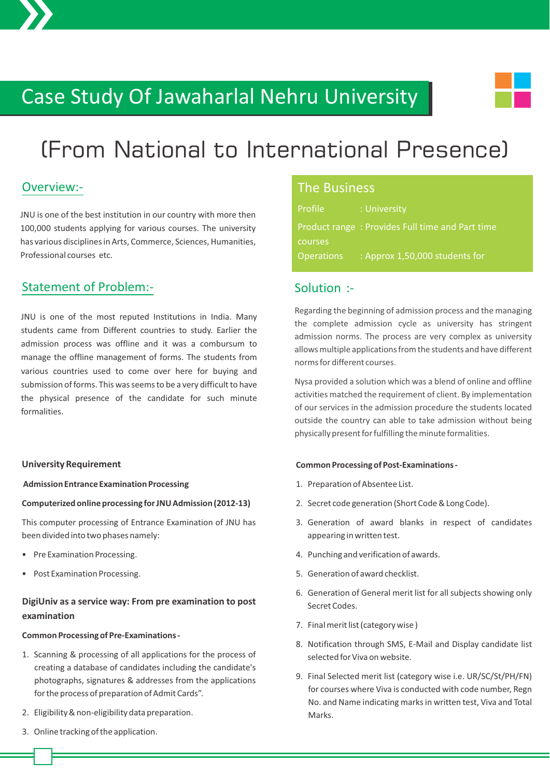# Case Study Of Jawaharlal Nehru University



# (From National to International Presence)

### Overview:-

JNU is one of the best institution in our country with more then 100,000 students applying for various courses. The university has various disciplines in Arts, Commerce, Sciences, Humanities, Professional courses etc.

### Statement of Problem:-

JNU is one of the most reputed Institutions in India. Many students came from Different countries to study. Earlier the admission process was offline and it was a combursum to manage the offline management of forms. The students from various countries used to come over here for buying and submission of forms. This was seems to be a very difficult to have the physical presence of the candidate for such minute formalities.

#### **University Requirement**

 **Admission Entrance Examination Processing**

#### **Computerized online processing for JNU Admission (2012-13)**

This computer processing of Entrance Examination of JNU has been divided into two phases namely:

- Pre Examination Processing.
- Post Examination Processing.

#### **DigiUniv as a service way: From pre examination to post examination**

#### **Common Processing of Pre-Examinations -**

- 1. Scanning & processing of all applications for the process of creating a database of candidates including the candidate's photographs, signatures & addresses from the applications for the process of preparation of Admit Cards".
- 2. Eligibility & non-eligibility data preparation.
- 3. Online tracking of the application.

#### The Business

| Profile           | : University                                    |
|-------------------|-------------------------------------------------|
|                   | Product range: Provides Full time and Part time |
| courses           |                                                 |
| <b>Operations</b> | : Approx 1,50,000 students for                  |

#### Solution :-

Regarding the beginning of admission process and the managing the complete admission cycle as university has stringent admission norms. The process are very complex as university allows multiple applications from the students and have different norms for different courses.

Nysa provided a solution which was a blend of online and offline activities matched the requirement of client. By implementation of our services in the admission procedure the students located outside the country can able to take admission without being physically present for fulfilling the minute formalities.

#### **Common Processing of Post-Examinations -**

- 1. Preparation of Absentee List.
- 2. Secret code generation (Short Code & Long Code).
- 3. Generation of award blanks in respect of candidates appearing in written test.
- 4. Punching and verification of awards.
- 5. Generation of award checklist.
- 6. Generation of General merit list for all subjects showing only Secret Codes.
- 7. Final merit list (category wise )
- 8. Notification through SMS, E-Mail and Display candidate list selected for Viva on website.
- 9. Final Selected merit list (category wise i.e. UR/SC/St/PH/FN) for courses where Viva is conducted with code number, Regn No. and Name indicating marks in written test, Viva and Total Marks.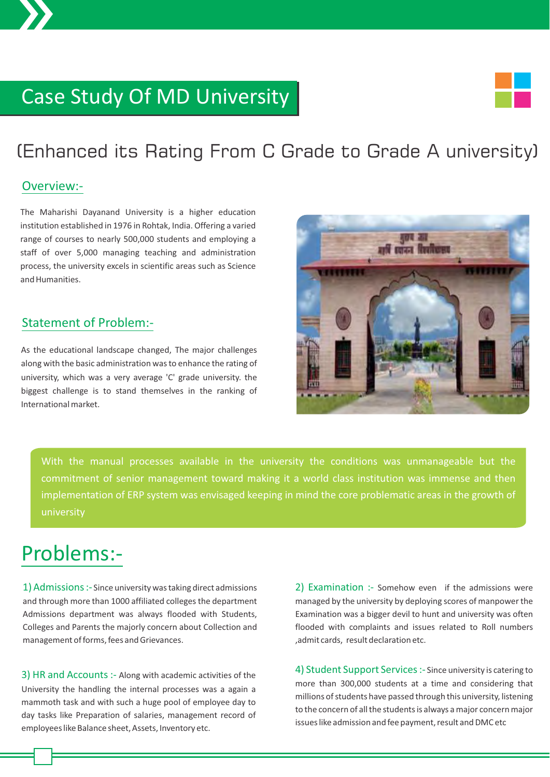# Case Study Of MD University

## (Enhanced its Rating From C Grade to Grade A university)

#### Overview:-

The Maharishi Dayanand University is a higher education institution established in 1976 in Rohtak, India. Offering a varied range of courses to nearly 500,000 students and employing a staff of over 5,000 managing teaching and administration process, the university excels in scientific areas such as Science and Humanities.

## Statement of Problem:-

As the educational landscape changed, The major challenges along with the basic administration was to enhance the rating of university, which was a very average 'C' grade university. the biggest challenge is to stand themselves in the ranking of International market.



With the manual processes available in the university the conditions was unmanageable but the commitment of senior management toward making it a world class institution was immense and then implementation of ERP system was envisaged keeping in mind the core problematic areas in the growth of university

## Problems:-

1) Admissions :- Since university was taking direct admissions and through more than 1000 affiliated colleges the department Admissions department was always flooded with Students, Colleges and Parents the majorly concern about Collection and management of forms, fees and Grievances.

3) HR and Accounts :- Along with academic activities of the University the handling the internal processes was a again a mammoth task and with such a huge pool of employee day to day tasks like Preparation of salaries, management record of employees like Balance sheet, Assets, Inventory etc.

2) Examination :- Somehow even if the admissions were managed by the university by deploying scores of manpower the Examination was a bigger devil to hunt and university was often flooded with complaints and issues related to Roll numbers ,admit cards, result declaration etc.

4) Student Support Services :- Since university is catering to more than 300,000 students at a time and considering that millions of students have passed through this university, listening to the concern of all the students is always a major concern major issues like admission and fee payment, result and DMC etc